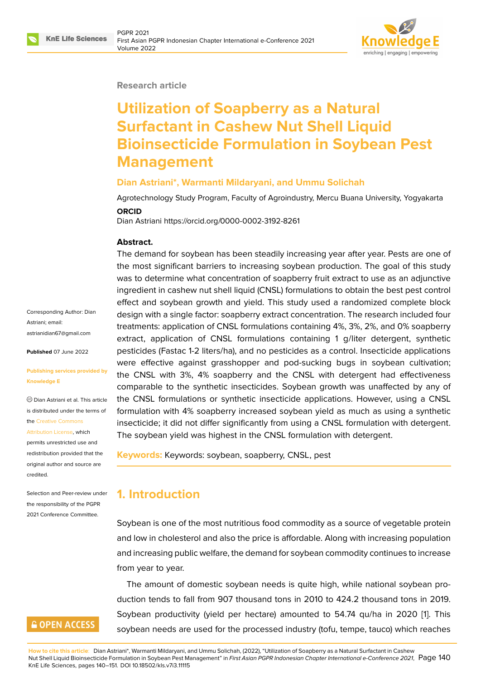#### **Research article**

# **Utilization of Soapberry as a Natural Surfactant in Cashew Nut Shell Liquid Bioinsecticide Formulation in Soybean Pest Management**

#### **Dian Astriani\*, Warmanti Mildaryani, and Ummu Solichah**

Agrotechnology Study Program, Faculty of Agroindustry, Mercu Buana University, Yogyakarta

#### **ORCID**

Dian Astriani https://orcid.org/0000-0002-3192-8261

#### **Abstract.**

The demand for soybean has been steadily increasing year after year. Pests are one of the most significant barriers to increasing soybean production. The goal of this study was to determine what concentration of soapberry fruit extract to use as an adjunctive ingredient in cashew nut shell liquid (CNSL) formulations to obtain the best pest control effect and soybean growth and yield. This study used a randomized complete block design with a single factor: soapberry extract concentration. The research included four treatments: application of CNSL formulations containing 4%, 3%, 2%, and 0% soapberry extract, application of CNSL formulations containing 1 g/liter detergent, synthetic pesticides (Fastac 1-2 liters/ha), and no pesticides as a control. Insecticide applications were effective against grasshopper and pod-sucking bugs in soybean cultivation; the CNSL with 3%, 4% soapberry and the CNSL with detergent had effectiveness comparable to the synthetic insecticides. Soybean growth was unaffected by any of the CNSL formulations or synthetic insecticide applications. However, using a CNSL formulation with 4% soapberry increased soybean yield as much as using a synthetic insecticide; it did not differ significantly from using a CNSL formulation with detergent. The soybean yield was highest in the CNSL formulation with detergent.

**Keywords:** Keywords: soybean, soapberry, CNSL, pest

## **1. Introduction**

Soybean is one of the most nutritious food commodity as a source of vegetable protein and low in cholesterol and also the price is affordable. Along with increasing population and increasing public welfare, the demand for soybean commodity continues to increase from year to year.

The amount of domestic soybean needs is quite high, while national soybean production tends to fall from 907 thousand tons in 2010 to 424.2 thousand tons in 2019. Soybean productivity (yield per hectare) amounted to 54.74 qu/ha in 2020 [1]. This soybean needs are used for the processed industry (tofu, tempe, tauco) which reaches

**How to cite this article**: Dian Astriani\*, Warmanti Mildaryani, and Ummu Solichah, (2022), "Utilization of Soapberry as a Natural Surfactant in Cashew Nut Shell Liquid Bioinsecticide Formulation in Soybean Pest Management" in *First Asian PGPR Indonesian Chapter International e-Conference 2021*, P[a](#page-9-0)ge 140 KnE Life Sciences, pages 140–151. DOI 10.18502/kls.v7i3.11115

Corresponding Author: Dian Astriani; email: astrianidian67@gmail.com

**Published** 07 June 2022

#### **[Publishing services provid](mailto:astrianidian67@gmail.com)ed by Knowledge E**

Dian Astriani et al. This article is distributed under the terms of the Creative Commons

Attribution License, which

permits unrestricted use and redistribution provided that the orig[inal author and sou](https://creativecommons.org/licenses/by/4.0/)rce are [credited.](https://creativecommons.org/licenses/by/4.0/)

Selection and Peer-review under the responsibility of the PGPR 2021 Conference Committee.

# **GOPEN ACCESS**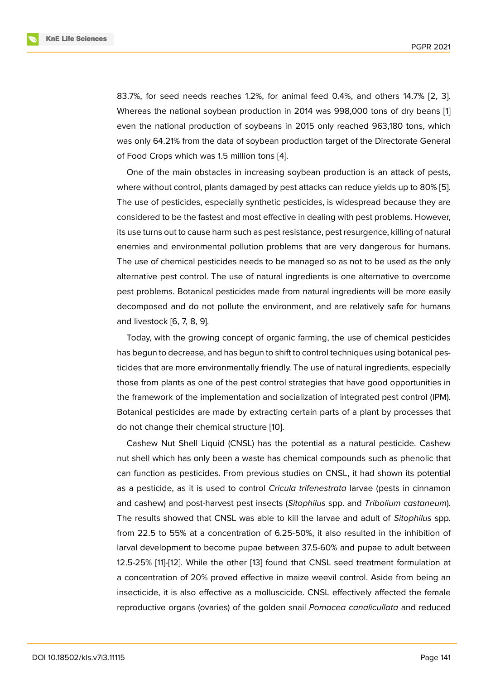83.7%, for seed needs reaches 1.2%, for animal feed 0.4%, and others 14.7% [2, 3]. Whereas the national soybean production in 2014 was 998,000 tons of dry beans [1] even the national production of soybeans in 2015 only reached 963,180 tons, which was only 64.21% from the data of soybean production target of the Directorate General of Food Crops which was 1.5 million tons [4].

One of the main obstacles in increasing soybean production is an attack of pests, where without control, plants damaged by pest attacks can reduce yields up to 80% [5]. The use of pesticides, especially syntheti[c p](#page-9-1)esticides, is widespread because they are considered to be the fastest and most effective in dealing with pest problems. However, its use turns out to cause harm such as pest resistance, pest resurgence, killing of natu[ra](#page-9-2)l enemies and environmental pollution problems that are very dangerous for humans. The use of chemical pesticides needs to be managed so as not to be used as the only alternative pest control. The use of natural ingredients is one alternative to overcome pest problems. Botanical pesticides made from natural ingredients will be more easily decomposed and do not pollute the environment, and are relatively safe for humans and livestock [6, 7, 8, 9].

Today, with the growing concept of organic farming, the use of chemical pesticides has begun to decrease, and has begun to shift to control techniques using botanical pesticides that are more environmentally friendly. The use of natural ingredients, especially those from plants as one of the pest control strategies that have good opportunities in the framework of the implementation and socialization of integrated pest control (IPM). Botanical pesticides are made by extracting certain parts of a plant by processes that do not change their chemical structure [10].

Cashew Nut Shell Liquid (CNSL) has the potential as a natural pesticide. Cashew nut shell which has only been a waste has chemical compounds such as phenolic that can function as pesticides. From previo[us](#page-10-0) studies on CNSL, it had shown its potential as a pesticide, as it is used to control *Cricula trifenestrata* larvae (pests in cinnamon and cashew) and post-harvest pest insects (*Sitophilus* spp. and *Tribolium castaneum*). The results showed that CNSL was able to kill the larvae and adult of *Sitophilus* spp. from 22.5 to 55% at a concentration of 6.25-50%, it also resulted in the inhibition of larval development to become pupae between 37.5-60% and pupae to adult between 12.5-25% [11]-[12]. While the other [13] found that CNSL seed treatment formulation at a concentration of 20% proved effective in maize weevil control. Aside from being an insecticide, it is also effective as a molluscicide. CNSL effectively affected the female reproducti[ve](#page-10-1) [org](#page-10-2)ans (ovaries) of th[e g](#page-10-3)olden snail *Pomacea canalicullata* and reduced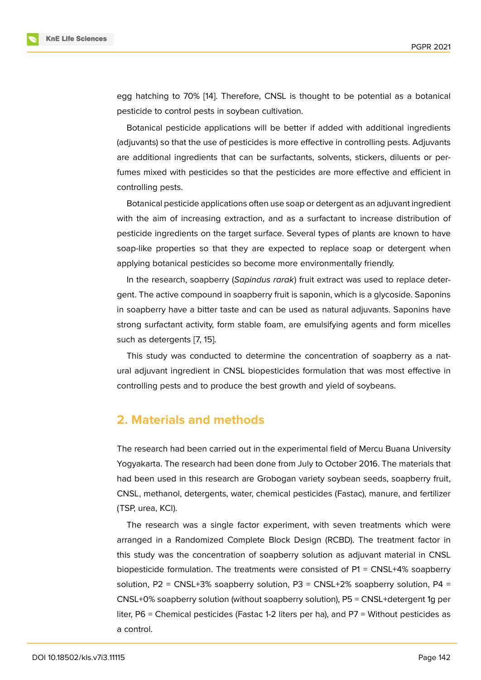egg hatching to 70% [14]. Therefore, CNSL is thought to be potential as a botanical pesticide to control pests in soybean cultivation.

Botanical pesticide applications will be better if added with additional ingredients (adjuvants) so that the [use](#page-10-4) of pesticides is more effective in controlling pests. Adjuvants are additional ingredients that can be surfactants, solvents, stickers, diluents or perfumes mixed with pesticides so that the pesticides are more effective and efficient in controlling pests.

Botanical pesticide applications often use soap or detergent as an adjuvant ingredient with the aim of increasing extraction, and as a surfactant to increase distribution of pesticide ingredients on the target surface. Several types of plants are known to have soap-like properties so that they are expected to replace soap or detergent when applying botanical pesticides so become more environmentally friendly.

In the research, soapberry (*Sapindus rarak*) fruit extract was used to replace detergent. The active compound in soapberry fruit is saponin, which is a glycoside. Saponins in soapberry have a bitter taste and can be used as natural adjuvants. Saponins have strong surfactant activity, form stable foam, are emulsifying agents and form micelles such as detergents [7, 15].

This study was conducted to determine the concentration of soapberry as a natural adjuvant ingredient in CNSL biopesticides formulation that was most effective in controlling pests and to produce the best growth and yield of soybeans.

#### **2. Materials and methods**

The research had been carried out in the experimental field of Mercu Buana University Yogyakarta. The research had been done from July to October 2016. The materials that had been used in this research are Grobogan variety soybean seeds, soapberry fruit, CNSL, methanol, detergents, water, chemical pesticides (Fastac), manure, and fertilizer (TSP, urea, KCl).

The research was a single factor experiment, with seven treatments which were arranged in a Randomized Complete Block Design (RCBD). The treatment factor in this study was the concentration of soapberry solution as adjuvant material in CNSL biopesticide formulation. The treatments were consisted of P1 = CNSL+4% soapberry solution,  $P2 = CNSL+3\%$  soapberry solution,  $P3 = CNSL+2\%$  soapberry solution,  $P4 =$ CNSL+0% soapberry solution (without soapberry solution), P5 = CNSL+detergent 1g per liter, P6 = Chemical pesticides (Fastac 1-2 liters per ha), and P7 = Without pesticides as a control.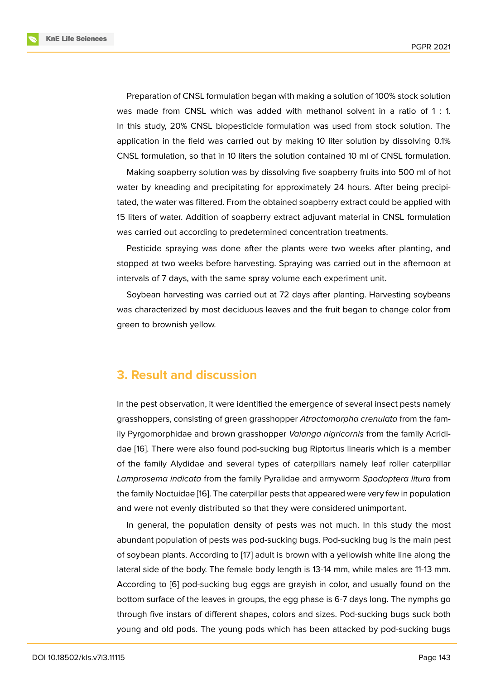Preparation of CNSL formulation began with making a solution of 100% stock solution was made from CNSL which was added with methanol solvent in a ratio of 1 : 1. In this study, 20% CNSL biopesticide formulation was used from stock solution. The application in the field was carried out by making 10 liter solution by dissolving 0.1% CNSL formulation, so that in 10 liters the solution contained 10 ml of CNSL formulation.

Making soapberry solution was by dissolving five soapberry fruits into 500 ml of hot water by kneading and precipitating for approximately 24 hours. After being precipitated, the water was filtered. From the obtained soapberry extract could be applied with 15 liters of water. Addition of soapberry extract adjuvant material in CNSL formulation was carried out according to predetermined concentration treatments.

Pesticide spraying was done after the plants were two weeks after planting, and stopped at two weeks before harvesting. Spraying was carried out in the afternoon at intervals of 7 days, with the same spray volume each experiment unit.

Soybean harvesting was carried out at 72 days after planting. Harvesting soybeans was characterized by most deciduous leaves and the fruit began to change color from green to brownish yellow.

#### **3. Result and discussion**

In the pest observation, it were identified the emergence of several insect pests namely grasshoppers, consisting of green grasshopper *Atractomorpha crenulata* from the family Pyrgomorphidae and brown grasshopper *Valanga nigricornis* from the family Acrididae [16]. There were also found pod-sucking bug Riptortus linearis which is a member of the family Alydidae and several types of caterpillars namely leaf roller caterpillar *Lamprosema indicata* from the family Pyralidae and armyworm *Spodoptera litura* from the f[am](#page-10-5)ily Noctuidae [16]. The caterpillar pests that appeared were very few in population and were not evenly distributed so that they were considered unimportant.

In general, the population density of pests was not much. In this study the most abundant population [of](#page-10-5) pests was pod-sucking bugs. Pod-sucking bug is the main pest of soybean plants. According to [17] adult is brown with a yellowish white line along the lateral side of the body. The female body length is 13-14 mm, while males are 11-13 mm. According to [6] pod-sucking bug eggs are grayish in color, and usually found on the bottom surface of the leaves in g[rou](#page-10-6)ps, the egg phase is 6-7 days long. The nymphs go through five instars of different shapes, colors and sizes. Pod-sucking bugs suck both young and ol[d p](#page-9-3)ods. The young pods which has been attacked by pod-sucking bugs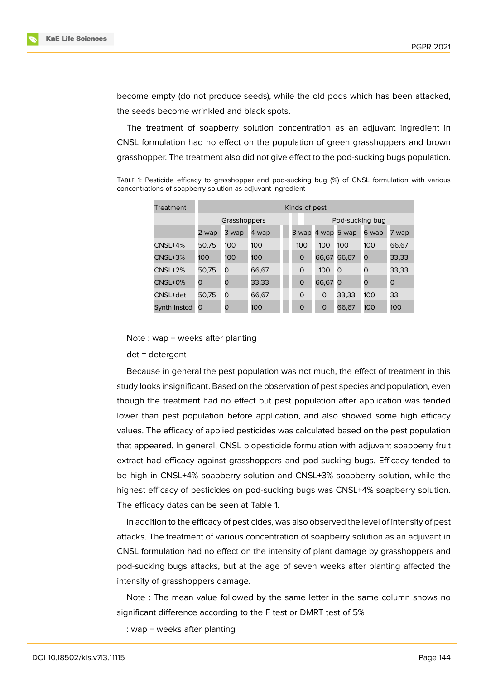

become empty (do not produce seeds), while the old pods which has been attacked, the seeds become wrinkled and black spots.

The treatment of soapberry solution concentration as an adjuvant ingredient in CNSL formulation had no effect on the population of green grasshoppers and brown grasshopper. The treatment also did not give effect to the pod-sucking bugs population.

Table 1: Pesticide efficacy to grasshopper and pod-sucking bug (%) of CNSL formulation with various concentrations of soapberry solution as adjuvant ingredient

| Treatment    | Kinds of pest |       |       |  |                 |          |       |       |          |
|--------------|---------------|-------|-------|--|-----------------|----------|-------|-------|----------|
|              | Grasshoppers  |       |       |  | Pod-sucking bug |          |       |       |          |
|              | 2 wap         | 3 wap | 4 wap |  | 3 wap           | 4 wap    | 5 wap | 6 wap | 7<br>wap |
| CNSL+4%      | 50,75         | 100   | 100   |  | 100             | 100      | 100   | 100   | 66,67    |
| $CNSL+3%$    | 100           | 100   | 100   |  | 0               | 66,67    | 66,67 | O     | 33,33    |
| $CNSL+2%$    | 50,75         | O     | 66,67 |  | O               | 100      | O     | O     | 33,33    |
| CNSL+0%      | 0             | 0     | 33,33 |  | 0               | 66,67    | O     | 0     | 0        |
| CNSL+det     | 50,75         | 0     | 66,67 |  | O               | 0        | 33,33 | 100   | 33       |
| Synth instcd | $\Omega$      | O     | 100   |  | 0               | $\Omega$ | 66,67 | 100   | 100      |

Note : wap = weeks after planting

det = detergent

Because in general the pest population was not much, the effect of treatment in this study looks insignificant. Based on the observation of pest species and population, even though the treatment had no effect but pest population after application was tended lower than pest population before application, and also showed some high efficacy values. The efficacy of applied pesticides was calculated based on the pest population that appeared. In general, CNSL biopesticide formulation with adjuvant soapberry fruit extract had efficacy against grasshoppers and pod-sucking bugs. Efficacy tended to be high in CNSL+4% soapberry solution and CNSL+3% soapberry solution, while the highest efficacy of pesticides on pod-sucking bugs was CNSL+4% soapberry solution. The efficacy datas can be seen at Table 1.

In addition to the efficacy of pesticides, was also observed the level of intensity of pest attacks. The treatment of various concentration of soapberry solution as an adjuvant in CNSL formulation had no effect on the intensity of plant damage by grasshoppers and pod-sucking bugs attacks, but at the age of seven weeks after planting affected the intensity of grasshoppers damage.

Note : The mean value followed by the same letter in the same column shows no significant difference according to the F test or DMRT test of 5%

: wap = weeks after planting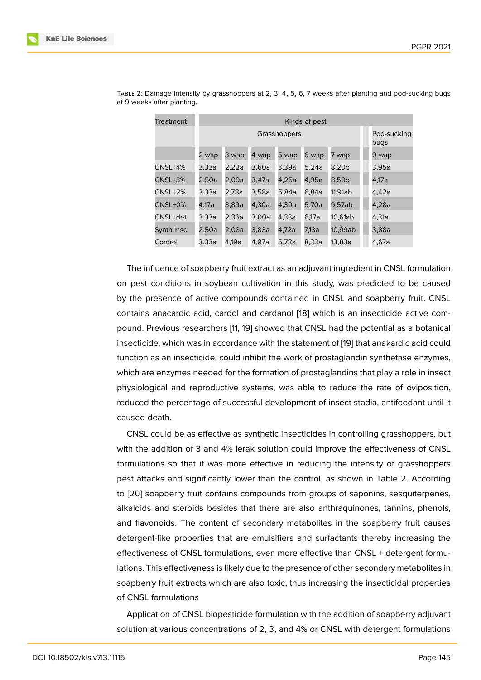| Treatment  | Kinds of pest |              |       |       |       |         |  |       |
|------------|---------------|--------------|-------|-------|-------|---------|--|-------|
|            |               | Grasshoppers |       |       |       |         |  |       |
|            | 2 wap         | 3 wap        | 4 wap | 5 wap | 6 wap | 7 wap   |  | 9 wap |
| CNSL+4%    | 3,33a         | 2,22a        | 3,60a | 3,39a | 5,24a | 8,20b   |  | 3,95a |
| CNSL+3%    | 2,50a         | 2,09a        | 3,47a | 4,25a | 4,95a | 8,50b   |  | 4,17a |
| $CNSL+2%$  | 3.33a         | 2,78a        | 3,58a | 5,84a | 6,84a | 11,91ab |  | 4,42a |
| CNSL+0%    | 4,17a         | 3,89a        | 4,30a | 4,30a | 5,70a | 9,57ab  |  | 4,28a |
| CNSL+det   | 3.33a         | 2.36a        | 3,00a | 4,33a | 6,17a | 10,61ab |  | 4,31a |
| Synth insc | 2,50a         | 2.08a        | 3,83a | 4,72a | 7,13a | 10,99ab |  | 3,88a |
| Control    | 3.33a         | 4,19a        | 4,97a | 5,78a | 8.33a | 13,83a  |  | 4,67a |

Table 2: Damage intensity by grasshoppers at 2, 3, 4, 5, 6, 7 weeks after planting and pod-sucking bugs at 9 weeks after planting.

The influence of soapberry fruit extract as an adjuvant ingredient in CNSL formulation on pest conditions in soybean cultivation in this study, was predicted to be caused by the presence of active compounds contained in CNSL and soapberry fruit. CNSL contains anacardic acid, cardol and cardanol [18] which is an insecticide active compound. Previous researchers [11, 19] showed that CNSL had the potential as a botanical insecticide, which was in accordance with the statement of [19] that anakardic acid could function as an insecticide, could inhibit the wor[k o](#page-10-7)f prostaglandin synthetase enzymes, which are enzymes needed for the formation of prostaglandins that play a role in insect physiological and reproductive systems, was able to red[uc](#page-10-8)e the rate of oviposition, reduced the percentage of successful development of insect stadia, antifeedant until it caused death.

CNSL could be as effective as synthetic insecticides in controlling grasshoppers, but with the addition of 3 and 4% lerak solution could improve the effectiveness of CNSL formulations so that it was more effective in reducing the intensity of grasshoppers pest attacks and significantly lower than the control, as shown in Table 2. According to [20] soapberry fruit contains compounds from groups of saponins, sesquiterpenes, alkaloids and steroids besides that there are also anthraquinones, tannins, phenols, and flavonoids. The content of secondary metabolites in the soapberry fruit causes det[erg](#page-10-9)ent-like properties that are emulsifiers and surfactants thereby increasing the effectiveness of CNSL formulations, even more effective than CNSL + detergent formulations. This effectiveness is likely due to the presence of other secondary metabolites in soapberry fruit extracts which are also toxic, thus increasing the insecticidal properties of CNSL formulations

Application of CNSL biopesticide formulation with the addition of soapberry adjuvant solution at various concentrations of 2, 3, and 4% or CNSL with detergent formulations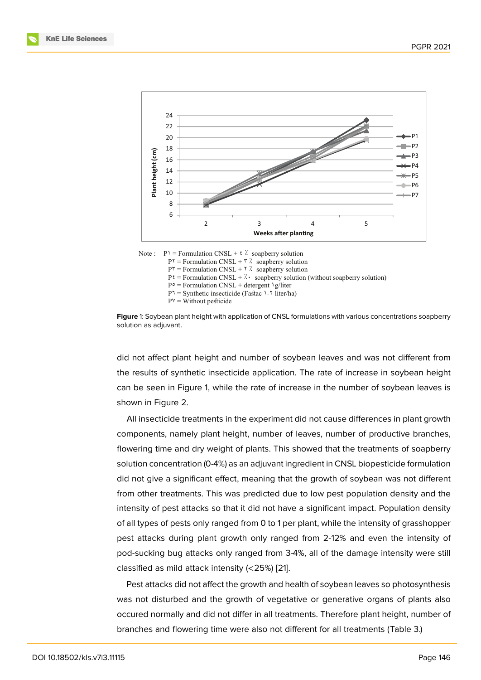



**Figure** 1: Soybean plant height with application of CNSL formulations with various concentrations soapberry solution as adjuvant.

<span id="page-6-0"></span>did not affect plant height and number of soybean leaves and was not different from the results of synthetic insecticide application. The rate of increase in soybean height can be seen in Figure 1, while the rate of increase in the number of soybean leaves is shown in Figure 2.

All insecticide treatments in the experiment did not cause differences in plant growth components, namely [pl](#page-6-0)ant height, number of leaves, number of productive branches, flowering time a[nd](#page-7-0) dry weight of plants. This showed that the treatments of soapberry solution concentration (0-4%) as an adjuvant ingredient in CNSL biopesticide formulation did not give a significant effect, meaning that the growth of soybean was not different from other treatments. This was predicted due to low pest population density and the intensity of pest attacks so that it did not have a significant impact. Population density of all types of pests only ranged from 0 to 1 per plant, while the intensity of grasshopper pest attacks during plant growth only ranged from 2-12% and even the intensity of pod-sucking bug attacks only ranged from 3-4%, all of the damage intensity were still classified as mild attack intensity (<25%) [21].

Pest attacks did not affect the growth and health of soybean leaves so photosynthesis was not disturbed and the growth of vegetative or generative organs of plants also occured normally and did not differ in all t[rea](#page-11-0)tments. Therefore plant height, number of branches and flowering time were also not different for all treatments (Table 3.)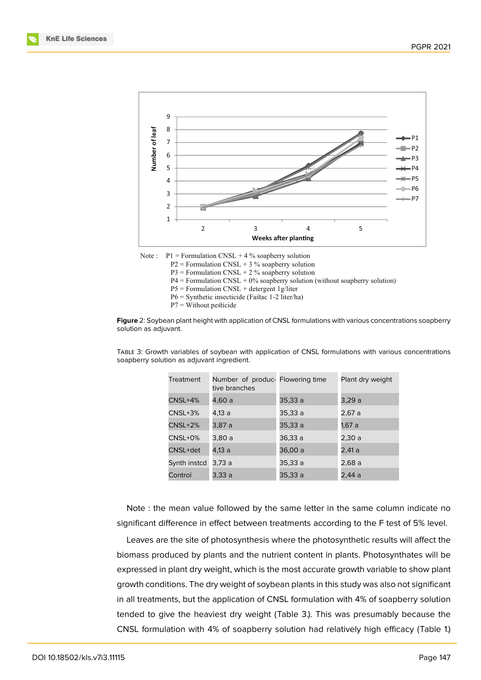

- $P2$  = Formulation CNSL + 3 % soapberry solution  $P3$  = Formulation CNSL + 2 % soapberry solution  $P4$  = Formulation CNSL + 0% soapberry solution (without soapberry solution) P5 = Formulation CNSL + detergent 1g/liter P6 = Synthetic insecticide (Fastac 1-2 liter/ha)
	- P7 = Without pesticide

<span id="page-7-0"></span>**Figure** 2: Soybean plant height with application of CNSL formulations with various concentrations soapberry solution as adjuvant.

| Treatment    | Number of produc- Flowering time<br>tive branches |         | Plant dry weight |
|--------------|---------------------------------------------------|---------|------------------|
| CNSL+4%      | 4,60 a                                            | 35,33 a | 3,29 a           |
| CNSL+3%      | 4,13 a                                            | 35,33 a | 2,67 a           |
| $CNSL+2%$    | 3,87a                                             | 35,33 a | 1,67 a           |
| CNSL+0%      | 3,80a                                             | 36,33 a | 2,30 a           |
| CNSL+det     | 4,13 a                                            | 36,00 a | 2,41 a           |
| Synth instcd | 3.73 a                                            | 35,33 a | 2,68a            |
| Control      | 3,33 a                                            | 35,33 a | 2,44 a           |

Table 3: Growth variables of soybean with application of CNSL formulations with various concentrations soapberry solution as adjuvant ingredient.

Note : the mean value followed by the same letter in the same column indicate no significant difference in effect between treatments according to the F test of 5% level.

Leaves are the site of photosynthesis where the photosynthetic results will affect the biomass produced by plants and the nutrient content in plants. Photosynthates will be expressed in plant dry weight, which is the most accurate growth variable to show plant growth conditions. The dry weight of soybean plants in this study was also not significant in all treatments, but the application of CNSL formulation with 4% of soapberry solution tended to give the heaviest dry weight (Table 3.). This was presumably because the CNSL formulation with 4% of soapberry solution had relatively high efficacy (Table 1.)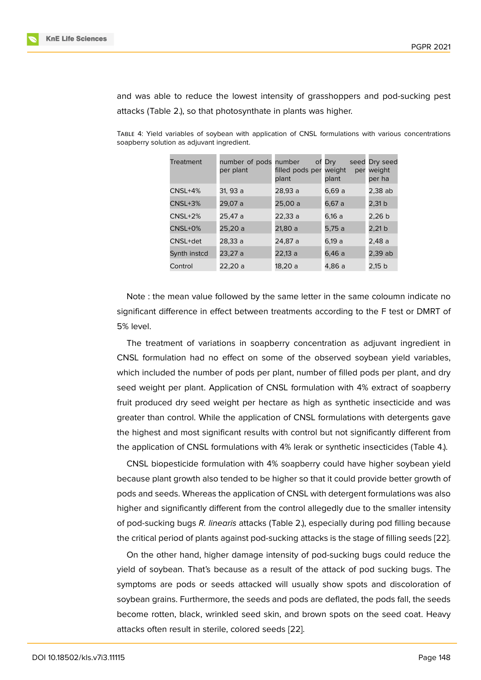and was able to reduce the lowest intensity of grasshoppers and pod-sucking pest attacks (Table 2.), so that photosynthate in plants was higher.

| Treatment    | number of pods<br>per plant | number<br>filled pods per<br>plant | of Dry<br>seed<br>weight<br>per<br>plant | Dry seed<br>weight<br>per ha |
|--------------|-----------------------------|------------------------------------|------------------------------------------|------------------------------|
| $CNSL+4%$    | 31, 93 a                    | 28,93 a                            | 6,69 a                                   | $2,38$ ab                    |
| $CNSL+3%$    | 29,07 a                     | 25,00 a                            | 6,67 a                                   | 2,31 b                       |
| $CNSL+2%$    | 25,47 a                     | 22,33 a                            | 6,16 a                                   | 2,26 b                       |
| CNSL+0%      | 25,20a                      | 21,80 a                            | 5,75a                                    | 2,21 b                       |
| CNSL+det     | 28,33 a                     | 24,87 a                            | 6,19a                                    | 2,48a                        |
| Synth instcd | 23,27 a                     | 22,13 a                            | 6,46 a                                   | 2,39 ab                      |
| Control      | 22,20 a                     | 18,20 a                            | 4,86 a                                   | $2,15$ b                     |

Table 4: Yield variables of soybean with application of CNSL formulations with various concentrations soapberry solution as adjuvant ingredient.

Note : the mean value followed by the same letter in the same coloumn indicate no significant difference in effect between treatments according to the F test or DMRT of 5% level.

The treatment of variations in soapberry concentration as adjuvant ingredient in CNSL formulation had no effect on some of the observed soybean yield variables, which included the number of pods per plant, number of filled pods per plant, and dry seed weight per plant. Application of CNSL formulation with 4% extract of soapberry fruit produced dry seed weight per hectare as high as synthetic insecticide and was greater than control. While the application of CNSL formulations with detergents gave the highest and most significant results with control but not significantly different from the application of CNSL formulations with 4% lerak or synthetic insecticides (Table 4.).

CNSL biopesticide formulation with 4% soapberry could have higher soybean yield because plant growth also tended to be higher so that it could provide better growth of pods and seeds. Whereas the application of CNSL with detergent formulations was also higher and significantly different from the control allegedly due to the smaller intensity of pod-sucking bugs *R. linearis* attacks (Table 2.), especially during pod filling because the critical period of plants against pod-sucking attacks is the stage of filling seeds [22].

On the other hand, higher damage intensity of pod-sucking bugs could reduce the yield of soybean. That's because as a result of the attack of pod sucking bugs. The symptoms are pods or seeds attacked will usually show spots and discoloratio[n o](#page-11-1)f soybean grains. Furthermore, the seeds and pods are deflated, the pods fall, the seeds become rotten, black, wrinkled seed skin, and brown spots on the seed coat. Heavy attacks often result in sterile, colored seeds [22].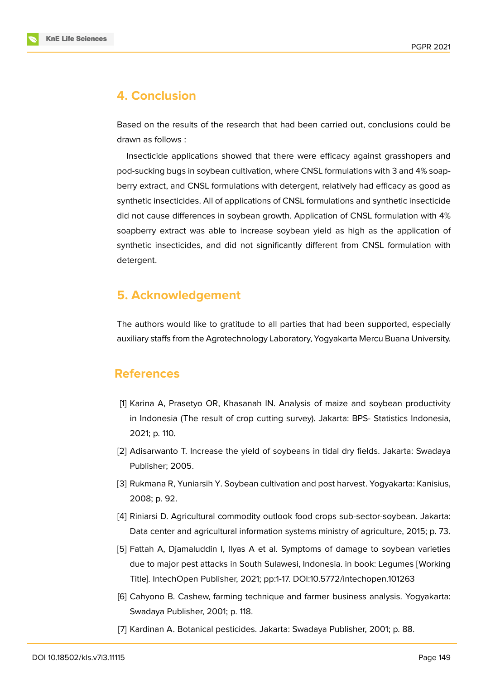

### **4. Conclusion**

Based on the results of the research that had been carried out, conclusions could be drawn as follows :

Insecticide applications showed that there were efficacy against grasshopers and pod-sucking bugs in soybean cultivation, where CNSL formulations with 3 and 4% soapberry extract, and CNSL formulations with detergent, relatively had efficacy as good as synthetic insecticides. All of applications of CNSL formulations and synthetic insecticide did not cause differences in soybean growth. Application of CNSL formulation with 4% soapberry extract was able to increase soybean yield as high as the application of synthetic insecticides, and did not significantly different from CNSL formulation with detergent.

## **5. Acknowledgement**

The authors would like to gratitude to all parties that had been supported, especially auxiliary staffs from the Agrotechnology Laboratory, Yogyakarta Mercu Buana University.

### **References**

- <span id="page-9-0"></span>[1] Karina A, Prasetyo OR, Khasanah IN. Analysis of maize and soybean productivity in Indonesia (The result of crop cutting survey). Jakarta: BPS- Statistics Indonesia, 2021; p. 110.
- [2] Adisarwanto T. Increase the yield of soybeans in tidal dry fields. Jakarta: Swadaya Publisher; 2005.
- [3] Rukmana R, Yuniarsih Y. Soybean cultivation and post harvest. Yogyakarta: Kanisius, 2008; p. 92.
- <span id="page-9-1"></span>[4] Riniarsi D. Agricultural commodity outlook food crops sub-sector-soybean. Jakarta: Data center and agricultural information systems ministry of agriculture, 2015; p. 73.
- <span id="page-9-2"></span>[5] Fattah A, Djamaluddin I, Ilyas A et al. Symptoms of damage to soybean varieties due to major pest attacks in South Sulawesi, Indonesia. in book: Legumes [Working Title]. IntechOpen Publisher, 2021; pp:1-17. DOI:10.5772/intechopen.101263
- <span id="page-9-3"></span>[6] Cahyono B. Cashew, farming technique and farmer business analysis. Yogyakarta: Swadaya Publisher, 2001; p. 118.
- [7] Kardinan A. Botanical pesticides. Jakarta: Swadaya Publisher, 2001; p. 88.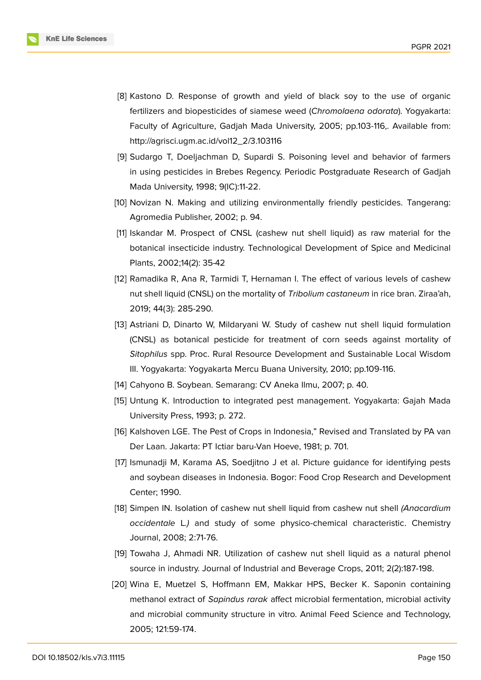

- [8] Kastono D. Response of growth and yield of black soy to the use of organic fertilizers and biopesticides of siamese weed (*Chromolaena odorata*). Yogyakarta: Faculty of Agriculture, Gadjah Mada University, 2005; pp.103-116,. Available from: http://agrisci.ugm.ac.id/vol12\_2/3.103116
- [9] Sudargo T, Doeljachman D, Supardi S. Poisoning level and behavior of farmers in using pesticides in Brebes Regency. Periodic Postgraduate Research of Gadjah Mada University, 1998; 9(IC):11-22.
- <span id="page-10-0"></span>[10] Novizan N. Making and utilizing environmentally friendly pesticides. Tangerang: Agromedia Publisher, 2002; p. 94.
- <span id="page-10-1"></span>[11] Iskandar M. Prospect of CNSL (cashew nut shell liquid) as raw material for the botanical insecticide industry. Technological Development of Spice and Medicinal Plants, 2002;14(2): 35-42
- <span id="page-10-2"></span>[12] Ramadika R, Ana R, Tarmidi T, Hernaman I. The effect of various levels of cashew nut shell liquid (CNSL) on the mortality of *Tribolium castaneum* in rice bran. Ziraa'ah, 2019; 44(3): 285-290.
- <span id="page-10-3"></span>[13] Astriani D, Dinarto W, Mildaryani W. Study of cashew nut shell liquid formulation (CNSL) as botanical pesticide for treatment of corn seeds against mortality of *Sitophilus* spp. Proc. Rural Resource Development and Sustainable Local Wisdom III. Yogyakarta: Yogyakarta Mercu Buana University, 2010; pp.109-116.
- <span id="page-10-4"></span>[14] Cahyono B. Soybean. Semarang: CV Aneka Ilmu, 2007; p. 40.
- [15] Untung K. Introduction to integrated pest management. Yogyakarta: Gajah Mada University Press, 1993; p. 272.
- <span id="page-10-5"></span>[16] Kalshoven LGE. The Pest of Crops in Indonesia," Revised and Translated by PA van Der Laan. Jakarta: PT Ictiar baru-Van Hoeve, 1981; p. 701.
- <span id="page-10-6"></span>[17] Ismunadji M, Karama AS, Soedjitno J et al. Picture guidance for identifying pests and soybean diseases in Indonesia. Bogor: Food Crop Research and Development Center; 1990.
- <span id="page-10-7"></span>[18] Simpen IN. Isolation of cashew nut shell liquid from cashew nut shell *(Anacardium occidentale* L*.)* and study of some physico-chemical characteristic. Chemistry Journal, 2008; 2:71-76.
- <span id="page-10-8"></span>[19] Towaha J, Ahmadi NR. Utilization of cashew nut shell liquid as a natural phenol source in industry. Journal of Industrial and Beverage Crops, 2011; 2(2):187-198.
- <span id="page-10-9"></span>[20] Wina E, Muetzel S, Hoffmann EM, Makkar HPS, Becker K. Saponin containing methanol extract of *Sapindus rarak* affect microbial fermentation, microbial activity and microbial community structure in vitro. Animal Feed Science and Technology, 2005; 121:59-174.